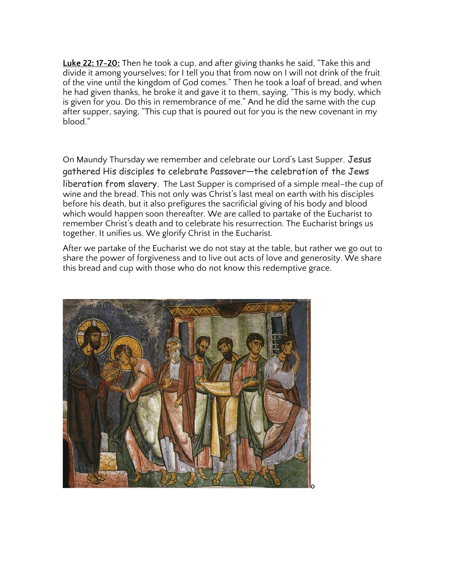**Luke 22: 17-20:** Then he took a cup, and after giving thanks he said, "Take this and divide it among yourselves; for I tell you that from now on I will not drink of the fruit of the vine until the kingdom of God comes." Then he took a loaf of bread, and when he had given thanks, he broke it and gave it to them, saying, "This is my body, which is given for you. Do this in remembrance of me." And he did the same with the cup after supper, saying, "This cup that is poured out for you is the new covenant in my blood."

On Maundy Thursday we remember and celebrate our Lord's Last Supper. Jesus gathered His disciples to celebrate Passover—the celebration of the Jews liberation from slavery. The Last Supper is comprised of a simple meal–the cup of wine and the bread. This not only was Christ's last meal on earth with his disciples before his death, but it also prefigures the sacrificial giving of his body and blood which would happen soon thereafter. We are called to partake of the Eucharist to remember Christ's death and to celebrate his resurrection. The Eucharist brings us together. It unifies us. We glorify Christ in the Eucharist.

After we partake of the Eucharist we do not stay at the table, but rather we go out to share the power of forgiveness and to live out acts of love and generosity. We share this bread and cup with those who do not know this redemptive grace.